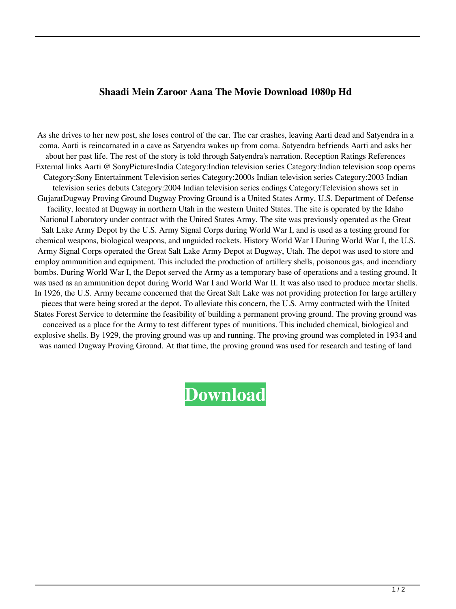## **Shaadi Mein Zaroor Aana The Movie Download 1080p Hd**

As she drives to her new post, she loses control of the car. The car crashes, leaving Aarti dead and Satyendra in a coma. Aarti is reincarnated in a cave as Satyendra wakes up from coma. Satyendra befriends Aarti and asks her about her past life. The rest of the story is told through Satyendra's narration. Reception Ratings References External links Aarti @ SonyPicturesIndia Category:Indian television series Category:Indian television soap operas Category:Sony Entertainment Television series Category:2000s Indian television series Category:2003 Indian television series debuts Category:2004 Indian television series endings Category:Television shows set in GujaratDugway Proving Ground Dugway Proving Ground is a United States Army, U.S. Department of Defense facility, located at Dugway in northern Utah in the western United States. The site is operated by the Idaho National Laboratory under contract with the United States Army. The site was previously operated as the Great Salt Lake Army Depot by the U.S. Army Signal Corps during World War I, and is used as a testing ground for chemical weapons, biological weapons, and unguided rockets. History World War I During World War I, the U.S. Army Signal Corps operated the Great Salt Lake Army Depot at Dugway, Utah. The depot was used to store and employ ammunition and equipment. This included the production of artillery shells, poisonous gas, and incendiary bombs. During World War I, the Depot served the Army as a temporary base of operations and a testing ground. It was used as an ammunition depot during World War I and World War II. It was also used to produce mortar shells. In 1926, the U.S. Army became concerned that the Great Salt Lake was not providing protection for large artillery pieces that were being stored at the depot. To alleviate this concern, the U.S. Army contracted with the United States Forest Service to determine the feasibility of building a permanent proving ground. The proving ground was conceived as a place for the Army to test different types of munitions. This included chemical, biological and explosive shells. By 1929, the proving ground was up and running. The proving ground was completed in 1934 and was named Dugway Proving Ground. At that time, the proving ground was used for research and testing of land